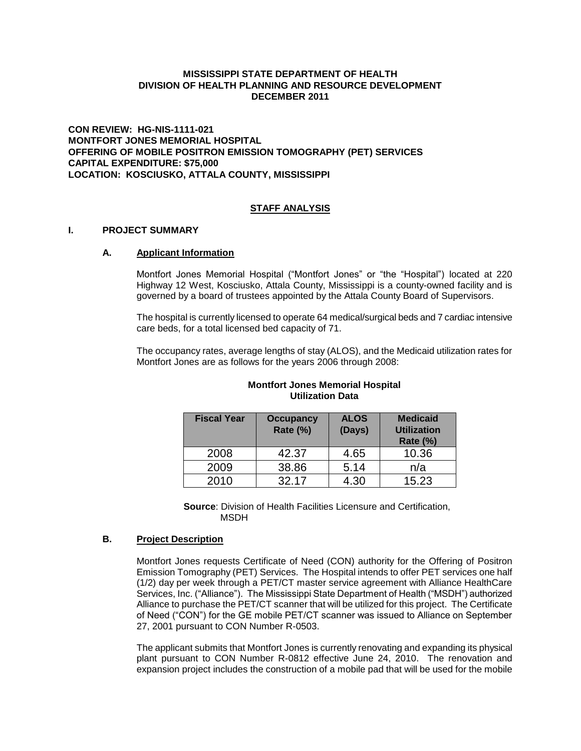## **MISSISSIPPI STATE DEPARTMENT OF HEALTH DIVISION OF HEALTH PLANNING AND RESOURCE DEVELOPMENT DECEMBER 2011**

**CON REVIEW: HG-NIS-1111-021 MONTFORT JONES MEMORIAL HOSPITAL OFFERING OF MOBILE POSITRON EMISSION TOMOGRAPHY (PET) SERVICES CAPITAL EXPENDITURE: \$75,000 LOCATION: KOSCIUSKO, ATTALA COUNTY, MISSISSIPPI**

## **STAFF ANALYSIS**

#### **I. PROJECT SUMMARY**

#### **A. Applicant Information**

Montfort Jones Memorial Hospital ("Montfort Jones" or "the "Hospital") located at 220 Highway 12 West, Kosciusko, Attala County, Mississippi is a county-owned facility and is governed by a board of trustees appointed by the Attala County Board of Supervisors.

The hospital is currently licensed to operate 64 medical/surgical beds and 7 cardiac intensive care beds, for a total licensed bed capacity of 71.

The occupancy rates, average lengths of stay (ALOS), and the Medicaid utilization rates for Montfort Jones are as follows for the years 2006 through 2008:

| <b>Fiscal Year</b> | <b>Occupancy</b><br>Rate (%) | <b>ALOS</b><br>(Days) | <b>Medicaid</b><br><b>Utilization</b><br><b>Rate (%)</b> |
|--------------------|------------------------------|-----------------------|----------------------------------------------------------|
| 2008               | 42.37                        | 4.65                  | 10.36                                                    |
| 2009               | 38.86                        | 5.14                  | n/a                                                      |
| 2010               | 32.17                        | 4.30                  | 15.23                                                    |

## **Montfort Jones Memorial Hospital Utilization Data**

**Source**: Division of Health Facilities Licensure and Certification, MSDH

#### **B. Project Description**

Montfort Jones requests Certificate of Need (CON) authority for the Offering of Positron Emission Tomography (PET) Services. The Hospital intends to offer PET services one half (1/2) day per week through a PET/CT master service agreement with Alliance HealthCare Services, Inc. ("Alliance"). The Mississippi State Department of Health ("MSDH") authorized Alliance to purchase the PET/CT scanner that will be utilized for this project. The Certificate of Need ("CON") for the GE mobile PET/CT scanner was issued to Alliance on September 27, 2001 pursuant to CON Number R-0503.

The applicant submits that Montfort Jones is currently renovating and expanding its physical plant pursuant to CON Number R-0812 effective June 24, 2010. The renovation and expansion project includes the construction of a mobile pad that will be used for the mobile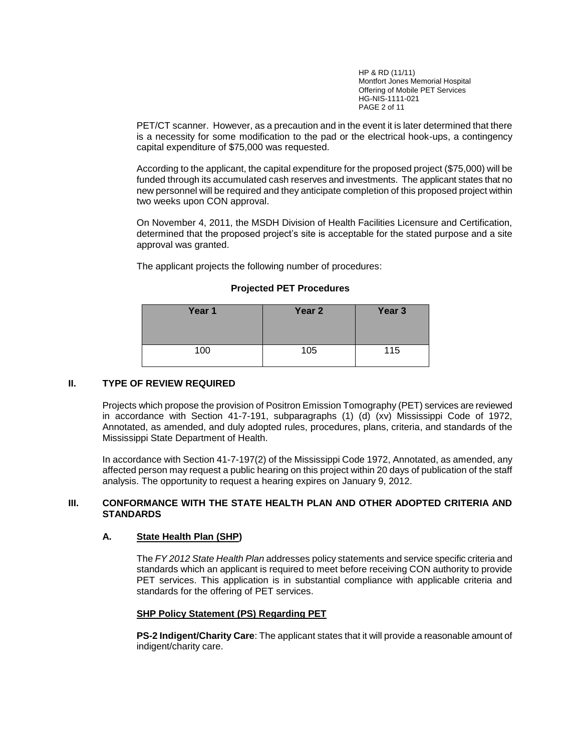HP & RD (11/11) Montfort Jones Memorial Hospital Offering of Mobile PET Services HG-NIS-1111-021 PAGE 2 of 11

PET/CT scanner. However, as a precaution and in the event it is later determined that there is a necessity for some modification to the pad or the electrical hook-ups, a contingency capital expenditure of \$75,000 was requested.

According to the applicant, the capital expenditure for the proposed project (\$75,000) will be funded through its accumulated cash reserves and investments. The applicant states that no new personnel will be required and they anticipate completion of this proposed project within two weeks upon CON approval.

On November 4, 2011, the MSDH Division of Health Facilities Licensure and Certification, determined that the proposed project's site is acceptable for the stated purpose and a site approval was granted.

The applicant projects the following number of procedures:

| Year 1 | Year 2 | Year <sub>3</sub> |
|--------|--------|-------------------|
| 100    | 105    | 115               |

## **Projected PET Procedures**

## **II. TYPE OF REVIEW REQUIRED**

Projects which propose the provision of Positron Emission Tomography (PET) services are reviewed in accordance with Section 41-7-191, subparagraphs (1) (d) (xv) Mississippi Code of 1972, Annotated, as amended, and duly adopted rules, procedures, plans, criteria, and standards of the Mississippi State Department of Health.

In accordance with Section 41-7-197(2) of the Mississippi Code 1972, Annotated, as amended, any affected person may request a public hearing on this project within 20 days of publication of the staff analysis. The opportunity to request a hearing expires on January 9, 2012.

## **III. CONFORMANCE WITH THE STATE HEALTH PLAN AND OTHER ADOPTED CRITERIA AND STANDARDS**

# **A. State Health Plan (SHP)**

The *FY 2012 State Health Plan* addresses policy statements and service specific criteria and standards which an applicant is required to meet before receiving CON authority to provide PET services. This application is in substantial compliance with applicable criteria and standards for the offering of PET services.

# **SHP Policy Statement (PS) Regarding PET**

**PS-2 Indigent/Charity Care:** The applicant states that it will provide a reasonable amount of indigent/charity care.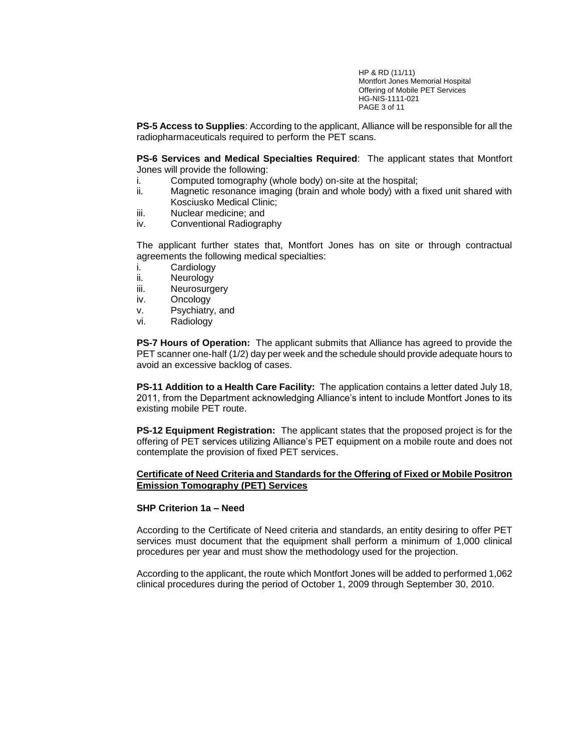HP & RD (11/11) Montfort Jones Memorial Hospital Offering of Mobile PET Services HG-NIS-1111-021 PAGE 3 of 11

**PS-5 Access to Supplies**: According to the applicant, Alliance will be responsible for all the radiopharmaceuticals required to perform the PET scans.

**PS-6 Services and Medical Specialties Required**: The applicant states that Montfort Jones will provide the following:

- i. Computed tomography (whole body) on-site at the hospital;
- ii. Magnetic resonance imaging (brain and whole body) with a fixed unit shared with Kosciusko Medical Clinic;
- iii. Nuclear medicine; and
- iv. Conventional Radiography

The applicant further states that, Montfort Jones has on site or through contractual agreements the following medical specialties:

- i. Cardiology
- ii. Neurology
- iii. Neurosurgery
- iv. Oncology
- v. Psychiatry, and
- vi. Radiology

**PS-7 Hours of Operation:** The applicant submits that Alliance has agreed to provide the PET scanner one-half (1/2) day per week and the schedule should provide adequate hours to avoid an excessive backlog of cases.

**PS-11 Addition to a Health Care Facility:** The application contains a letter dated July 18, 2011, from the Department acknowledging Alliance's intent to include Montfort Jones to its existing mobile PET route.

**PS-12 Equipment Registration:** The applicant states that the proposed project is for the offering of PET services utilizing Alliance's PET equipment on a mobile route and does not contemplate the provision of fixed PET services.

## **Certificate of Need Criteria and Standards for the Offering of Fixed or Mobile Positron Emission Tomography (PET) Services**

## **SHP Criterion 1a – Need**

According to the Certificate of Need criteria and standards, an entity desiring to offer PET services must document that the equipment shall perform a minimum of 1,000 clinical procedures per year and must show the methodology used for the projection.

According to the applicant, the route which Montfort Jones will be added to performed 1,062 clinical procedures during the period of October 1, 2009 through September 30, 2010.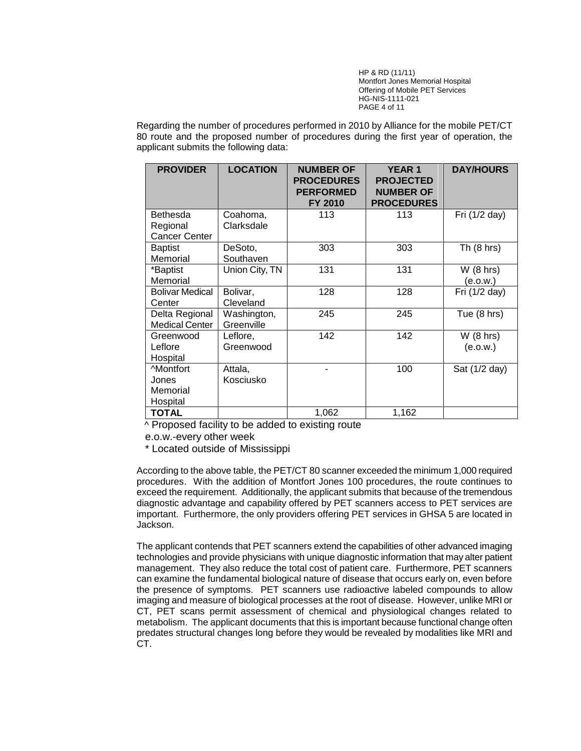HP & RD (11/11) Montfort Jones Memorial Hospital Offering of Mobile PET Services HG-NIS-1111-021 PAGE 4 of 11

Regarding the number of procedures performed in 2010 by Alliance for the mobile PET/CT 80 route and the proposed number of procedures during the first year of operation, the applicant submits the following data:

| <b>PROVIDER</b>        | <b>LOCATION</b> | <b>NUMBER OF</b><br><b>PROCEDURES</b><br><b>PERFORMED</b><br><b>FY 2010</b> | <b>YEAR 1</b><br><b>PROJECTED</b><br><b>NUMBER OF</b><br><b>PROCEDURES</b> | <b>DAY/HOURS</b>      |
|------------------------|-----------------|-----------------------------------------------------------------------------|----------------------------------------------------------------------------|-----------------------|
| <b>Bethesda</b>        | Coahoma,        | 113                                                                         | 113                                                                        | Fri (1/2 day)         |
| Regional               | Clarksdale      |                                                                             |                                                                            |                       |
| <b>Cancer Center</b>   |                 |                                                                             |                                                                            |                       |
| <b>Baptist</b>         | DeSoto,         | 303                                                                         | 303                                                                        | Th $(8 \text{ hrs})$  |
| Memorial               | Southaven       |                                                                             |                                                                            |                       |
| *Baptist               | Union City, TN  | 131                                                                         | 131                                                                        | W(8 hrs)              |
| Memorial               |                 |                                                                             |                                                                            | (e.o.w.)              |
| <b>Bolivar Medical</b> | Bolivar,        | 128                                                                         | 128                                                                        | Fri (1/2 day)         |
| Center                 | Cleveland       |                                                                             |                                                                            |                       |
| Delta Regional         | Washington,     | 245                                                                         | 245                                                                        | Tue $(8 \text{ hrs})$ |
| <b>Medical Center</b>  | Greenville      |                                                                             |                                                                            |                       |
| Greenwood              | Leflore,        | 142                                                                         | 142                                                                        | W(8 hrs)              |
| Leflore                | Greenwood       |                                                                             |                                                                            | (e.o.w.)              |
| Hospital               |                 |                                                                             |                                                                            |                       |
| <b>Montfort</b>        | Attala,         |                                                                             | 100                                                                        | Sat (1/2 day)         |
| Jones                  | Kosciusko       |                                                                             |                                                                            |                       |
| Memorial               |                 |                                                                             |                                                                            |                       |
| Hospital               |                 |                                                                             |                                                                            |                       |
| <b>TOTAL</b>           |                 | 1,062                                                                       | 1,162                                                                      |                       |

 $\overline{\wedge}$  Proposed facility to be added to existing route

e.o.w.-every other week

\* Located outside of Mississippi

According to the above table, the PET/CT 80 scanner exceeded the minimum 1,000 required procedures. With the addition of Montfort Jones 100 procedures, the route continues to exceed the requirement. Additionally, the applicant submits that because of the tremendous diagnostic advantage and capability offered by PET scanners access to PET services are important. Furthermore, the only providers offering PET services in GHSA 5 are located in Jackson.

The applicant contends that PET scanners extend the capabilities of other advanced imaging technologies and provide physicians with unique diagnostic information that may alter patient management. They also reduce the total cost of patient care. Furthermore, PET scanners can examine the fundamental biological nature of disease that occurs early on, even before the presence of symptoms. PET scanners use radioactive labeled compounds to allow imaging and measure of biological processes at the root of disease. However, unlike MRI or CT, PET scans permit assessment of chemical and physiological changes related to metabolism. The applicant documents that this is important because functional change often predates structural changes long before they would be revealed by modalities like MRI and CT.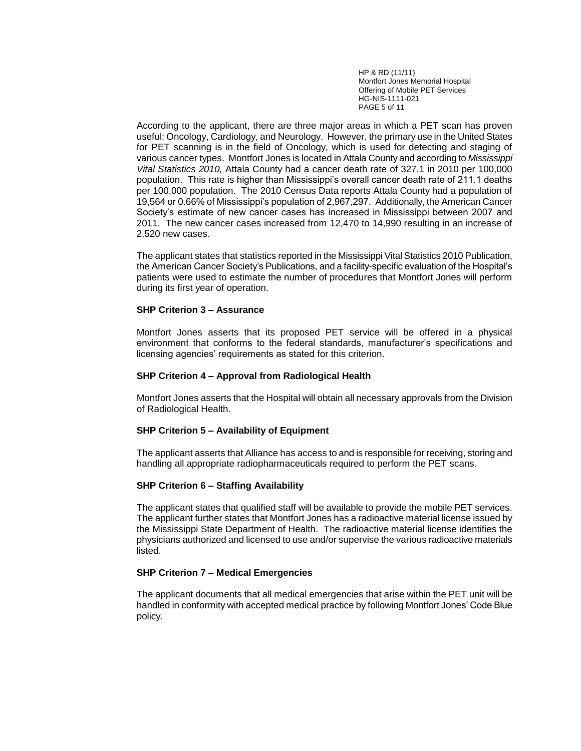HP & RD (11/11) Montfort Jones Memorial Hospital Offering of Mobile PET Services HG-NIS-1111-021 PAGE 5 of 11

According to the applicant, there are three major areas in which a PET scan has proven useful: Oncology, Cardiology, and Neurology. However, the primary use in the United States for PET scanning is in the field of Oncology, which is used for detecting and staging of various cancer types. Montfort Jones is located in Attala County and according to *Mississippi Vital Statistics 2010,* Attala County had a cancer death rate of 327.1 in 2010 per 100,000 population. This rate is higher than Mississippi's overall cancer death rate of 211.1 deaths per 100,000 population. The 2010 Census Data reports Attala County had a population of 19,564 or 0.66% of Mississippi's population of 2,967,297. Additionally, the American Cancer Society's estimate of new cancer cases has increased in Mississippi between 2007 and 2011. The new cancer cases increased from 12,470 to 14,990 resulting in an increase of 2,520 new cases.

The applicant states that statistics reported in the Mississippi Vital Statistics 2010 Publication, the American Cancer Society's Publications, and a facility-specific evaluation of the Hospital's patients were used to estimate the number of procedures that Montfort Jones will perform during its first year of operation.

#### **SHP Criterion 3 – Assurance**

Montfort Jones asserts that its proposed PET service will be offered in a physical environment that conforms to the federal standards, manufacturer's specifications and licensing agencies' requirements as stated for this criterion.

#### **SHP Criterion 4 – Approval from Radiological Health**

Montfort Jones asserts that the Hospital will obtain all necessary approvals from the Division of Radiological Health.

## **SHP Criterion 5 – Availability of Equipment**

The applicant asserts that Alliance has access to and is responsible for receiving, storing and handling all appropriate radiopharmaceuticals required to perform the PET scans.

#### **SHP Criterion 6 – Staffing Availability**

The applicant states that qualified staff will be available to provide the mobile PET services. The applicant further states that Montfort Jones has a radioactive material license issued by the Mississippi State Department of Health. The radioactive material license identifies the physicians authorized and licensed to use and/or supervise the various radioactive materials listed.

#### **SHP Criterion 7 – Medical Emergencies**

The applicant documents that all medical emergencies that arise within the PET unit will be handled in conformity with accepted medical practice by following Montfort Jones' Code Blue policy.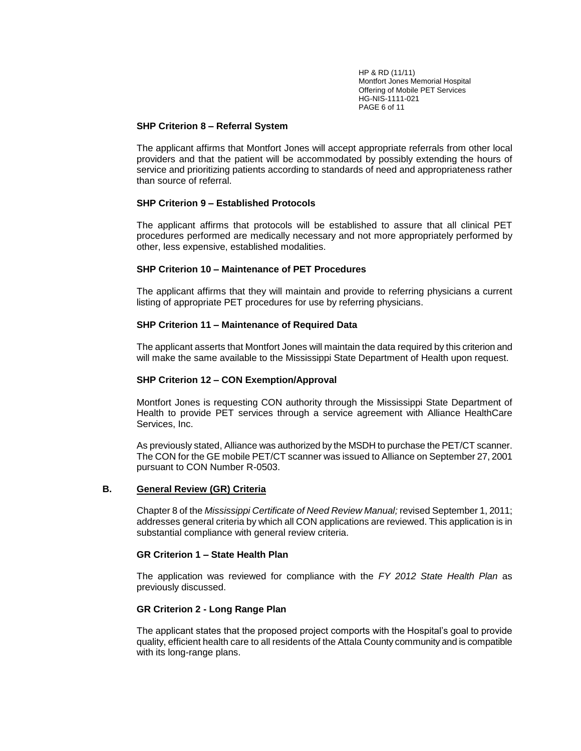HP & RD (11/11) Montfort Jones Memorial Hospital Offering of Mobile PET Services HG-NIS-1111-021 PAGE 6 of 11

#### **SHP Criterion 8 – Referral System**

The applicant affirms that Montfort Jones will accept appropriate referrals from other local providers and that the patient will be accommodated by possibly extending the hours of service and prioritizing patients according to standards of need and appropriateness rather than source of referral.

## **SHP Criterion 9 – Established Protocols**

The applicant affirms that protocols will be established to assure that all clinical PET procedures performed are medically necessary and not more appropriately performed by other, less expensive, established modalities.

## **SHP Criterion 10 – Maintenance of PET Procedures**

The applicant affirms that they will maintain and provide to referring physicians a current listing of appropriate PET procedures for use by referring physicians.

## **SHP Criterion 11 – Maintenance of Required Data**

The applicant asserts that Montfort Jones will maintain the data required by this criterion and will make the same available to the Mississippi State Department of Health upon request.

## **SHP Criterion 12 – CON Exemption/Approval**

Montfort Jones is requesting CON authority through the Mississippi State Department of Health to provide PET services through a service agreement with Alliance HealthCare Services, Inc.

As previously stated, Alliance was authorized by the MSDH to purchase the PET/CT scanner. The CON for the GE mobile PET/CT scanner was issued to Alliance on September 27, 2001 pursuant to CON Number R-0503.

## **B. General Review (GR) Criteria**

Chapter 8 of the *Mississippi Certificate of Need Review Manual;* revised September 1, 2011; addresses general criteria by which all CON applications are reviewed. This application is in substantial compliance with general review criteria.

## **GR Criterion 1 – State Health Plan**

The application was reviewed for compliance with the *FY 2012 State Health Plan* as previously discussed.

## **GR Criterion 2 - Long Range Plan**

The applicant states that the proposed project comports with the Hospital's goal to provide quality, efficient health care to all residents of the Attala County community and is compatible with its long-range plans.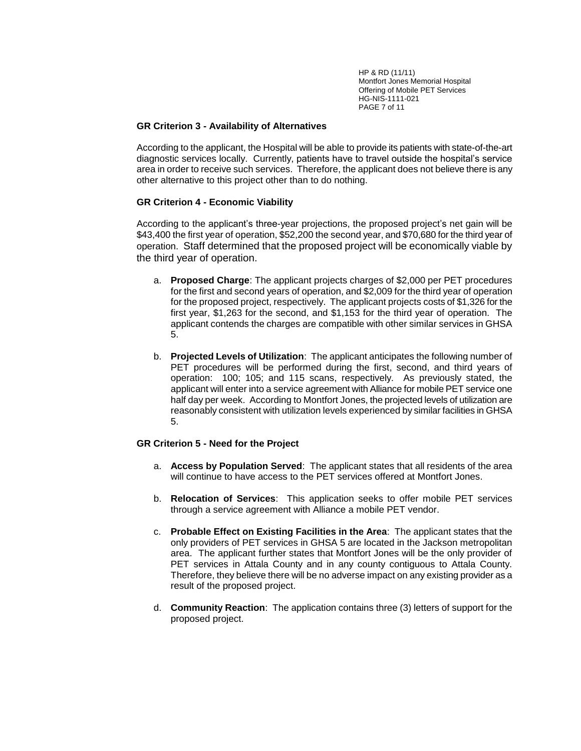HP & RD (11/11) Montfort Jones Memorial Hospital Offering of Mobile PET Services HG-NIS-1111-021 PAGE 7 of 11

## **GR Criterion 3 - Availability of Alternatives**

According to the applicant, the Hospital will be able to provide its patients with state-of-the-art diagnostic services locally. Currently, patients have to travel outside the hospital's service area in order to receive such services. Therefore, the applicant does not believe there is any other alternative to this project other than to do nothing.

## **GR Criterion 4 - Economic Viability**

According to the applicant's three-year projections, the proposed project's net gain will be \$43,400 the first year of operation, \$52,200 the second year, and \$70,680 for the third year of operation. Staff determined that the proposed project will be economically viable by the third year of operation.

- a. **Proposed Charge**: The applicant projects charges of \$2,000 per PET procedures for the first and second years of operation, and \$2,009 for the third year of operation for the proposed project, respectively. The applicant projects costs of \$1,326 for the first year, \$1,263 for the second, and \$1,153 for the third year of operation. The applicant contends the charges are compatible with other similar services in GHSA 5.
- b. **Projected Levels of Utilization**: The applicant anticipates the following number of PET procedures will be performed during the first, second, and third years of operation: 100; 105; and 115 scans, respectively. As previously stated, the applicant will enter into a service agreement with Alliance for mobile PET service one half day per week. According to Montfort Jones, the projected levels of utilization are reasonably consistent with utilization levels experienced by similar facilities in GHSA 5.

## **GR Criterion 5 - Need for the Project**

- a. **Access by Population Served**: The applicant states that all residents of the area will continue to have access to the PET services offered at Montfort Jones.
- b. **Relocation of Services**: This application seeks to offer mobile PET services through a service agreement with Alliance a mobile PET vendor.
- c. **Probable Effect on Existing Facilities in the Area**: The applicant states that the only providers of PET services in GHSA 5 are located in the Jackson metropolitan area. The applicant further states that Montfort Jones will be the only provider of PET services in Attala County and in any county contiguous to Attala County. Therefore, they believe there will be no adverse impact on any existing provider as a result of the proposed project.
- d. **Community Reaction**: The application contains three (3) letters of support for the proposed project.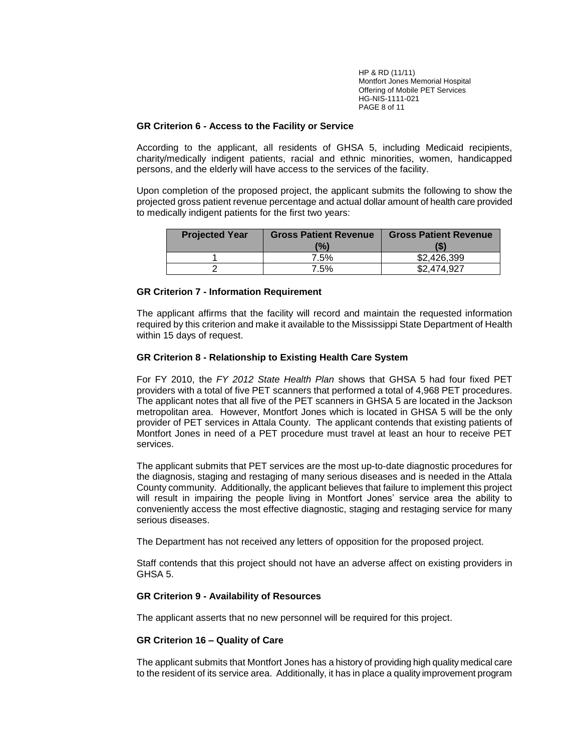HP & RD (11/11) Montfort Jones Memorial Hospital Offering of Mobile PET Services HG-NIS-1111-021 PAGE 8 of 11

#### **GR Criterion 6 - Access to the Facility or Service**

According to the applicant, all residents of GHSA 5, including Medicaid recipients, charity/medically indigent patients, racial and ethnic minorities, women, handicapped persons, and the elderly will have access to the services of the facility.

Upon completion of the proposed project, the applicant submits the following to show the projected gross patient revenue percentage and actual dollar amount of health care provided to medically indigent patients for the first two years:

| <b>Projected Year</b> | <b>Gross Patient Revenue</b> | <b>Gross Patient Revenue</b> |  |
|-----------------------|------------------------------|------------------------------|--|
|                       | $\frac{10}{6}$               | 'S                           |  |
|                       | 7.5%                         | \$2,426,399                  |  |
|                       | 7.5%                         | \$2,474,927                  |  |

#### **GR Criterion 7 - Information Requirement**

The applicant affirms that the facility will record and maintain the requested information required by this criterion and make it available to the Mississippi State Department of Health within 15 days of request.

## **GR Criterion 8 - Relationship to Existing Health Care System**

For FY 2010, the *FY 2012 State Health Plan* shows that GHSA 5 had four fixed PET providers with a total of five PET scanners that performed a total of 4,968 PET procedures. The applicant notes that all five of the PET scanners in GHSA 5 are located in the Jackson metropolitan area. However, Montfort Jones which is located in GHSA 5 will be the only provider of PET services in Attala County. The applicant contends that existing patients of Montfort Jones in need of a PET procedure must travel at least an hour to receive PET services.

The applicant submits that PET services are the most up-to-date diagnostic procedures for the diagnosis, staging and restaging of many serious diseases and is needed in the Attala County community. Additionally, the applicant believes that failure to implement this project will result in impairing the people living in Montfort Jones' service area the ability to conveniently access the most effective diagnostic, staging and restaging service for many serious diseases.

The Department has not received any letters of opposition for the proposed project.

Staff contends that this project should not have an adverse affect on existing providers in GHSA 5.

## **GR Criterion 9 - Availability of Resources**

The applicant asserts that no new personnel will be required for this project.

## **GR Criterion 16 – Quality of Care**

The applicant submits that Montfort Jones has a history of providing high quality medical care to the resident of its service area. Additionally, it has in place a quality improvement program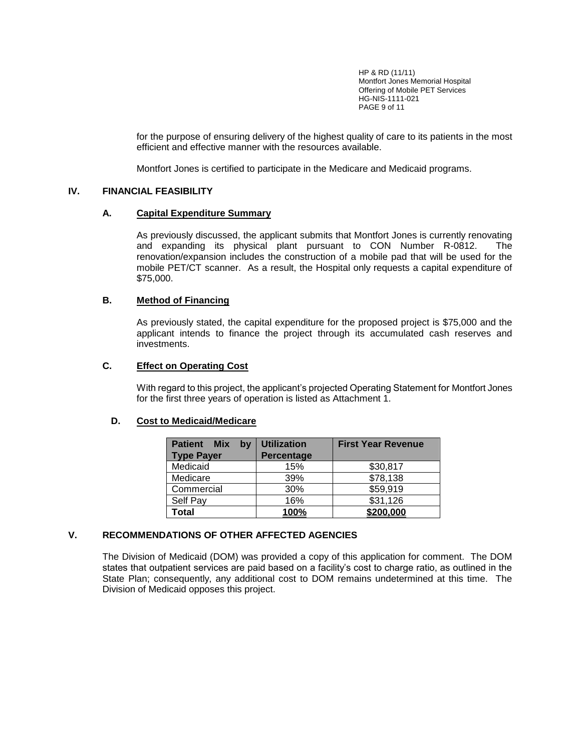HP & RD (11/11) Montfort Jones Memorial Hospital Offering of Mobile PET Services HG-NIS-1111-021 PAGE 9 of 11

for the purpose of ensuring delivery of the highest quality of care to its patients in the most efficient and effective manner with the resources available.

Montfort Jones is certified to participate in the Medicare and Medicaid programs.

## **IV. FINANCIAL FEASIBILITY**

## **A. Capital Expenditure Summary**

As previously discussed, the applicant submits that Montfort Jones is currently renovating and expanding its physical plant pursuant to CON Number R-0812. The renovation/expansion includes the construction of a mobile pad that will be used for the mobile PET/CT scanner. As a result, the Hospital only requests a capital expenditure of \$75,000.

## **B. Method of Financing**

As previously stated, the capital expenditure for the proposed project is \$75,000 and the applicant intends to finance the project through its accumulated cash reserves and investments.

## **C. Effect on Operating Cost**

With regard to this project, the applicant's projected Operating Statement for Montfort Jones for the first three years of operation is listed as Attachment 1.

# **D. Cost to Medicaid/Medicare**

| <b>Patient</b><br><b>Mix</b><br>bv<br><b>Type Payer</b> | <b>Utilization</b><br>Percentage | <b>First Year Revenue</b> |
|---------------------------------------------------------|----------------------------------|---------------------------|
| Medicaid                                                | 15%                              | \$30,817                  |
| Medicare                                                | 39%                              | \$78,138                  |
| Commercial                                              | 30%                              | \$59,919                  |
| Self Pay                                                | 16%                              | \$31,126                  |
| Total                                                   | 100%                             | \$200,000                 |

## **V. RECOMMENDATIONS OF OTHER AFFECTED AGENCIES**

The Division of Medicaid (DOM) was provided a copy of this application for comment. The DOM states that outpatient services are paid based on a facility's cost to charge ratio, as outlined in the State Plan; consequently, any additional cost to DOM remains undetermined at this time. The Division of Medicaid opposes this project.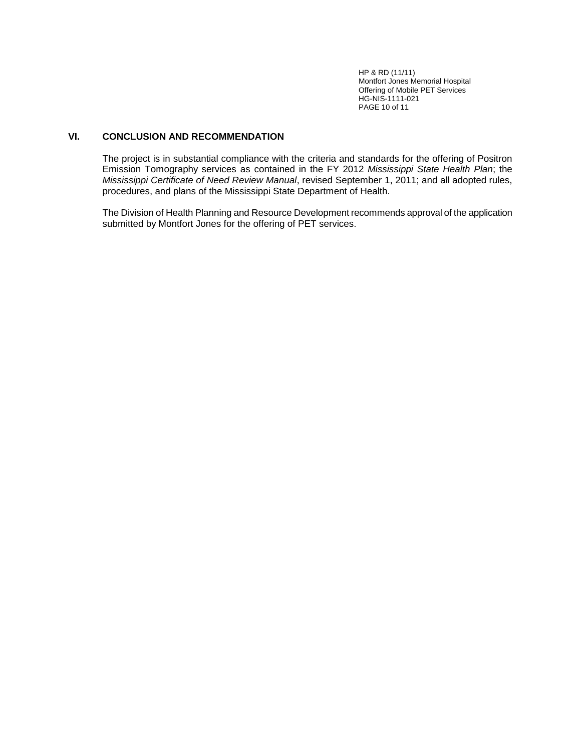HP & RD (11/11) Montfort Jones Memorial Hospital Offering of Mobile PET Services HG-NIS-1111-021 PAGE 10 of 11

# **VI. CONCLUSION AND RECOMMENDATION**

The project is in substantial compliance with the criteria and standards for the offering of Positron Emission Tomography services as contained in the FY 2012 *Mississippi State Health Plan*; the *Mississippi Certificate of Need Review Manual*, revised September 1, 2011; and all adopted rules, procedures, and plans of the Mississippi State Department of Health.

The Division of Health Planning and Resource Development recommends approval of the application submitted by Montfort Jones for the offering of PET services.